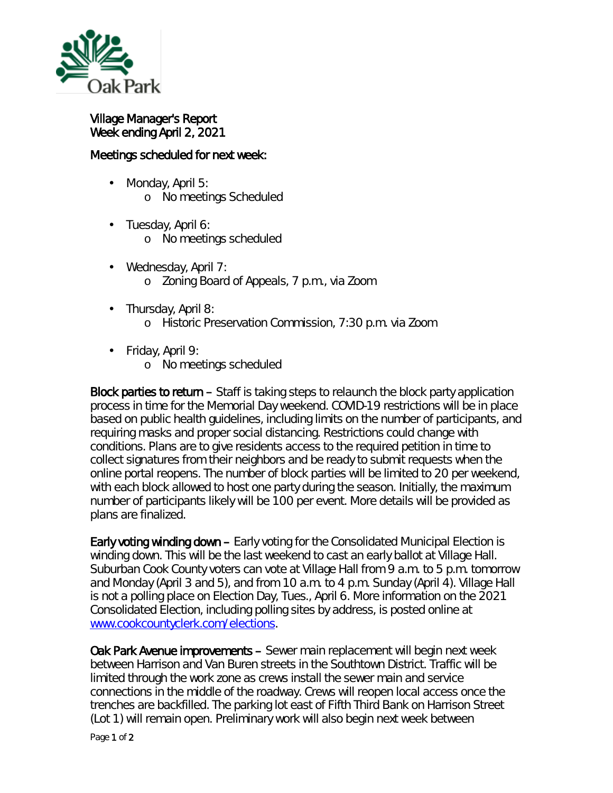

Village Manager's Report Week ending April 2, 2021

## Meetings scheduled for next week:

- $\mathcal{L}^{\text{max}}$ Monday, April 5: o No meetings Scheduled
- . Tuesday, April 6:
	- o No meetings scheduled
- Wednesday, April 7: o Zoning Board of Appeals, 7 p.m., via Zoom
- . Thursday, April 8:
	- o Historic Preservation Commission, 7:30 p.m. via Zoom
- Friday, April 9:
	- o No meetings scheduled

Block parties to return – Staff is taking steps to relaunch the block party application process in time for the Memorial Day weekend. COVID-19 restrictions will be in place based on public health guidelines, including limits on the number of participants, and requiring masks and proper social distancing. Restrictions could change with conditions. Plans are to give residents access to the required petition in time to collect signatures from their neighbors and be ready to submit requests when the online portal reopens. The number of block parties will be limited to 20 per weekend, with each block allowed to host one party during the season. Initially, the maximum number of participants likely will be 100 per event. More details will be provided as plans are finalized.

Early voting winding down – Early voting for the Consolidated Municipal Election is winding down. This will be the last weekend to cast an early ballot at Village Hall. Suburban Cook County voters can vote at Village Hall from 9 a.m. to 5 p.m. tomorrow and Monday (April 3 and 5), and from 10 a.m. to 4 p.m. Sunday (April 4). Village Hall is not a polling place on Election Day, Tues., April 6. More information on the 2021 Consolidated Election, including polling sites by address, is posted online at [www.cookcountyclerk.com/elections.](http://www.cookcountyclerk.com/elections)

Oak Park Avenue improvements – Sewer main replacement will begin next week between Harrison and Van Buren streets in the Southtown District. Traffic will be limited through the work zone as crews install the sewer main and service connections in the middle of the roadway. Crews will reopen local access once the trenches are backfilled. The parking lot east of Fifth Third Bank on Harrison Street (Lot 1) will remain open. Preliminary work will also begin next week between